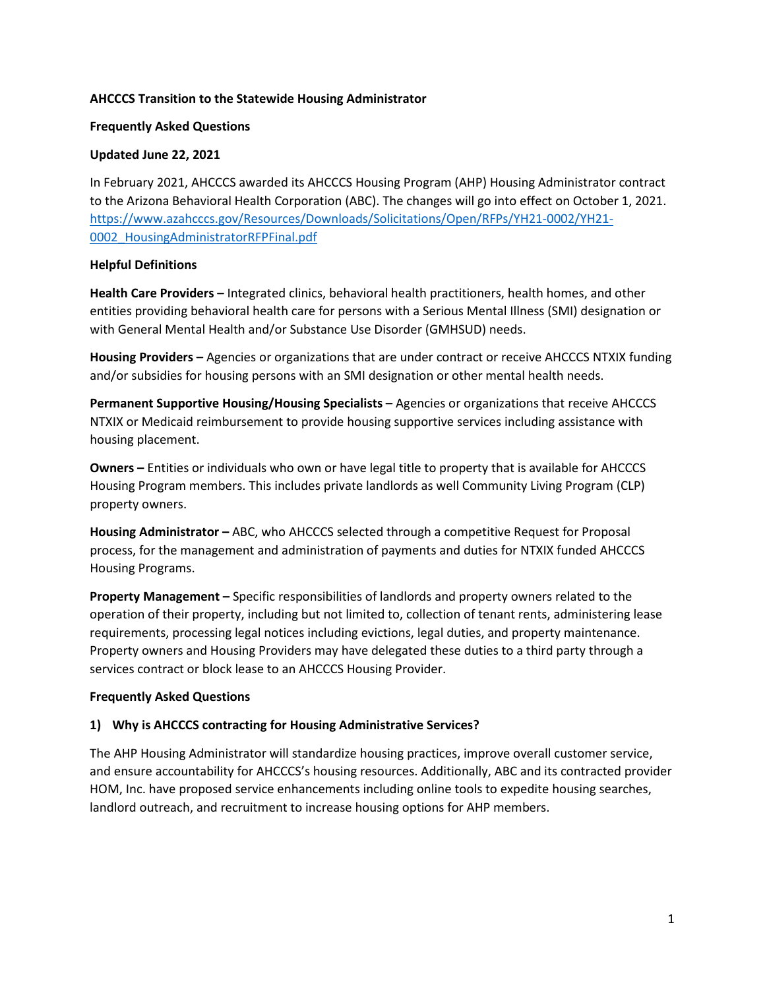#### **AHCCCS Transition to the Statewide Housing Administrator**

#### **Frequently Asked Questions**

#### **Updated June 22, 2021**

In February 2021, AHCCCS awarded its AHCCCS Housing Program (AHP) Housing Administrator contract to the Arizona Behavioral Health Corporation (ABC). The changes will go into effect on October 1, 2021. [https://www.azahcccs.gov/Resources/Downloads/Solicitations/Open/RFPs/YH21-0002/YH21-](https://www.azahcccs.gov/Resources/Downloads/Solicitations/Open/RFPs/YH21-0002/YH21-0002_HousingAdministratorRFPFinal.pdf) [0002\\_HousingAdministratorRFPFinal.pdf](https://www.azahcccs.gov/Resources/Downloads/Solicitations/Open/RFPs/YH21-0002/YH21-0002_HousingAdministratorRFPFinal.pdf)

#### **Helpful Definitions**

**Health Care Providers –** Integrated clinics, behavioral health practitioners, health homes, and other entities providing behavioral health care for persons with a Serious Mental Illness (SMI) designation or with General Mental Health and/or Substance Use Disorder (GMHSUD) needs.

**Housing Providers –** Agencies or organizations that are under contract or receive AHCCCS NTXIX funding and/or subsidies for housing persons with an SMI designation or other mental health needs.

**Permanent Supportive Housing/Housing Specialists –** Agencies or organizations that receive AHCCCS NTXIX or Medicaid reimbursement to provide housing supportive services including assistance with housing placement.

**Owners –** Entities or individuals who own or have legal title to property that is available for AHCCCS Housing Program members. This includes private landlords as well Community Living Program (CLP) property owners.

**Housing Administrator –** ABC, who AHCCCS selected through a competitive Request for Proposal process, for the management and administration of payments and duties for NTXIX funded AHCCCS Housing Programs.

**Property Management –** Specific responsibilities of landlords and property owners related to the operation of their property, including but not limited to, collection of tenant rents, administering lease requirements, processing legal notices including evictions, legal duties, and property maintenance. Property owners and Housing Providers may have delegated these duties to a third party through a services contract or block lease to an AHCCCS Housing Provider.

## **Frequently Asked Questions**

## **1) Why is AHCCCS contracting for Housing Administrative Services?**

The AHP Housing Administrator will standardize housing practices, improve overall customer service, and ensure accountability for AHCCCS's housing resources. Additionally, ABC and its contracted provider HOM, Inc. have proposed service enhancements including online tools to expedite housing searches, landlord outreach, and recruitment to increase housing options for AHP members.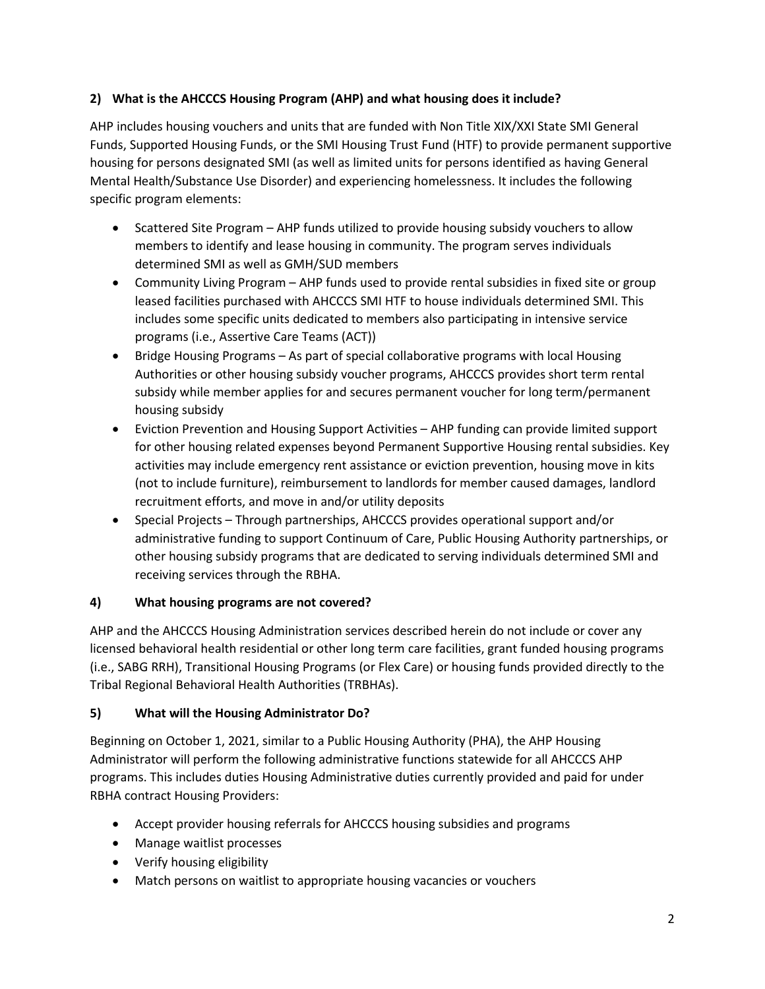## **2) What is the AHCCCS Housing Program (AHP) and what housing does it include?**

AHP includes housing vouchers and units that are funded with Non Title XIX/XXI State SMI General Funds, Supported Housing Funds, or the SMI Housing Trust Fund (HTF) to provide permanent supportive housing for persons designated SMI (as well as limited units for persons identified as having General Mental Health/Substance Use Disorder) and experiencing homelessness. It includes the following specific program elements:

- Scattered Site Program AHP funds utilized to provide housing subsidy vouchers to allow members to identify and lease housing in community. The program serves individuals determined SMI as well as GMH/SUD members
- Community Living Program AHP funds used to provide rental subsidies in fixed site or group leased facilities purchased with AHCCCS SMI HTF to house individuals determined SMI. This includes some specific units dedicated to members also participating in intensive service programs (i.e., Assertive Care Teams (ACT))
- Bridge Housing Programs As part of special collaborative programs with local Housing Authorities or other housing subsidy voucher programs, AHCCCS provides short term rental subsidy while member applies for and secures permanent voucher for long term/permanent housing subsidy
- Eviction Prevention and Housing Support Activities AHP funding can provide limited support for other housing related expenses beyond Permanent Supportive Housing rental subsidies. Key activities may include emergency rent assistance or eviction prevention, housing move in kits (not to include furniture), reimbursement to landlords for member caused damages, landlord recruitment efforts, and move in and/or utility deposits
- Special Projects Through partnerships, AHCCCS provides operational support and/or administrative funding to support Continuum of Care, Public Housing Authority partnerships, or other housing subsidy programs that are dedicated to serving individuals determined SMI and receiving services through the RBHA.

# **4) What housing programs are not covered?**

AHP and the AHCCCS Housing Administration services described herein do not include or cover any licensed behavioral health residential or other long term care facilities, grant funded housing programs (i.e., SABG RRH), Transitional Housing Programs (or Flex Care) or housing funds provided directly to the Tribal Regional Behavioral Health Authorities (TRBHAs).

# **5) What will the Housing Administrator Do?**

Beginning on October 1, 2021, similar to a Public Housing Authority (PHA), the AHP Housing Administrator will perform the following administrative functions statewide for all AHCCCS AHP programs. This includes duties Housing Administrative duties currently provided and paid for under RBHA contract Housing Providers:

- Accept provider housing referrals for AHCCCS housing subsidies and programs
- Manage waitlist processes
- Verify housing eligibility
- Match persons on waitlist to appropriate housing vacancies or vouchers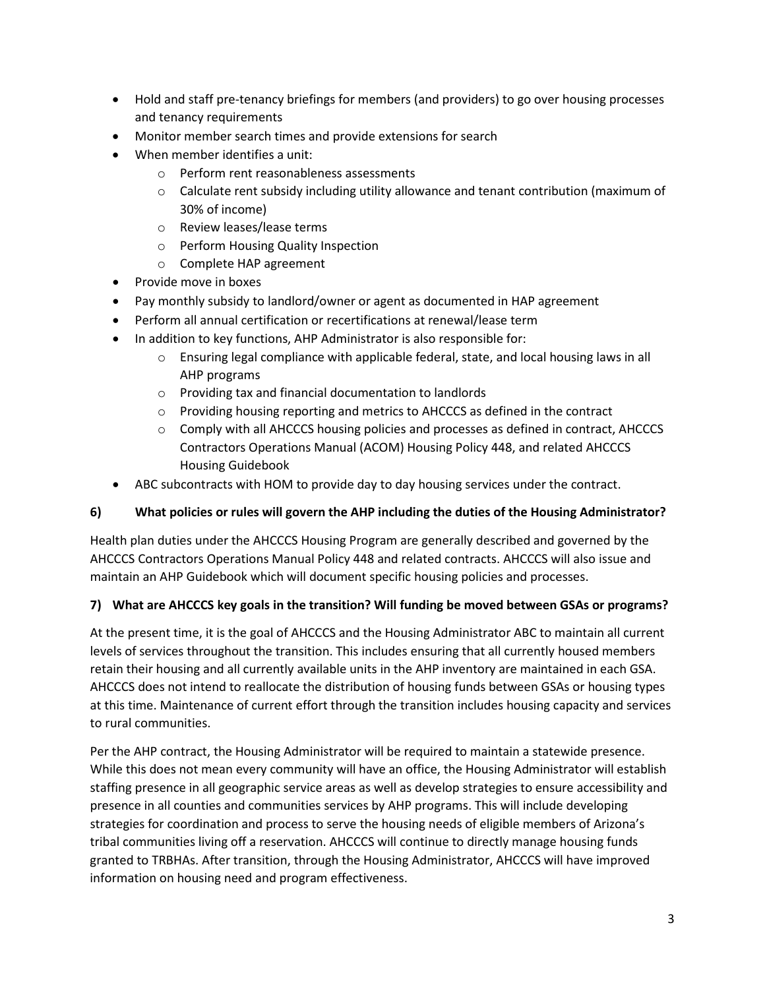- Hold and staff pre-tenancy briefings for members (and providers) to go over housing processes and tenancy requirements
- Monitor member search times and provide extensions for search
- When member identifies a unit:
	- o Perform rent reasonableness assessments
	- $\circ$  Calculate rent subsidy including utility allowance and tenant contribution (maximum of 30% of income)
	- o Review leases/lease terms
	- o Perform Housing Quality Inspection
	- o Complete HAP agreement
- Provide move in boxes
- Pay monthly subsidy to landlord/owner or agent as documented in HAP agreement
- Perform all annual certification or recertifications at renewal/lease term
- In addition to key functions, AHP Administrator is also responsible for:
	- o Ensuring legal compliance with applicable federal, state, and local housing laws in all AHP programs
	- o Providing tax and financial documentation to landlords
	- o Providing housing reporting and metrics to AHCCCS as defined in the contract
	- $\circ$  Comply with all AHCCCS housing policies and processes as defined in contract, AHCCCS Contractors Operations Manual (ACOM) Housing Policy 448, and related AHCCCS Housing Guidebook
- ABC subcontracts with HOM to provide day to day housing services under the contract.

## **6) What policies or rules will govern the AHP including the duties of the Housing Administrator?**

Health plan duties under the AHCCCS Housing Program are generally described and governed by the AHCCCS Contractors Operations Manual Policy 448 and related contracts. AHCCCS will also issue and maintain an AHP Guidebook which will document specific housing policies and processes.

## **7) What are AHCCCS key goals in the transition? Will funding be moved between GSAs or programs?**

At the present time, it is the goal of AHCCCS and the Housing Administrator ABC to maintain all current levels of services throughout the transition. This includes ensuring that all currently housed members retain their housing and all currently available units in the AHP inventory are maintained in each GSA. AHCCCS does not intend to reallocate the distribution of housing funds between GSAs or housing types at this time. Maintenance of current effort through the transition includes housing capacity and services to rural communities.

Per the AHP contract, the Housing Administrator will be required to maintain a statewide presence. While this does not mean every community will have an office, the Housing Administrator will establish staffing presence in all geographic service areas as well as develop strategies to ensure accessibility and presence in all counties and communities services by AHP programs. This will include developing strategies for coordination and process to serve the housing needs of eligible members of Arizona's tribal communities living off a reservation. AHCCCS will continue to directly manage housing funds granted to TRBHAs. After transition, through the Housing Administrator, AHCCCS will have improved information on housing need and program effectiveness.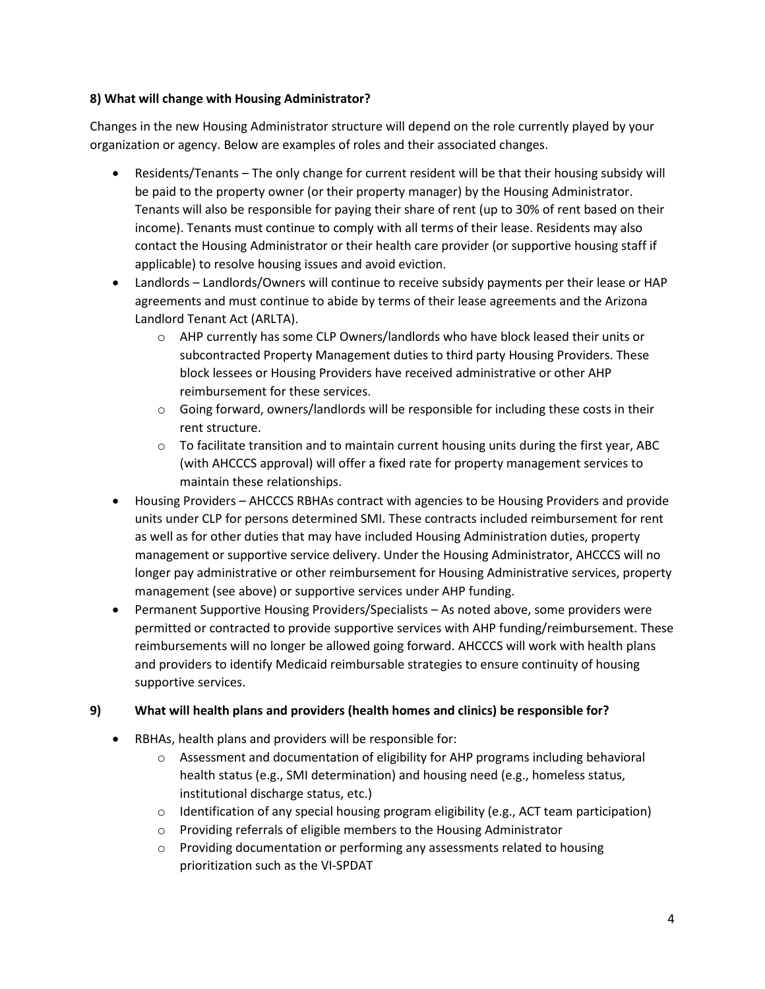#### **8) What will change with Housing Administrator?**

Changes in the new Housing Administrator structure will depend on the role currently played by your organization or agency. Below are examples of roles and their associated changes.

- Residents/Tenants The only change for current resident will be that their housing subsidy will be paid to the property owner (or their property manager) by the Housing Administrator. Tenants will also be responsible for paying their share of rent (up to 30% of rent based on their income). Tenants must continue to comply with all terms of their lease. Residents may also contact the Housing Administrator or their health care provider (or supportive housing staff if applicable) to resolve housing issues and avoid eviction.
- Landlords Landlords/Owners will continue to receive subsidy payments per their lease or HAP agreements and must continue to abide by terms of their lease agreements and the Arizona Landlord Tenant Act (ARLTA).
	- $\circ$  AHP currently has some CLP Owners/landlords who have block leased their units or subcontracted Property Management duties to third party Housing Providers. These block lessees or Housing Providers have received administrative or other AHP reimbursement for these services.
	- $\circ$  Going forward, owners/landlords will be responsible for including these costs in their rent structure.
	- $\circ$  To facilitate transition and to maintain current housing units during the first year, ABC (with AHCCCS approval) will offer a fixed rate for property management services to maintain these relationships.
- Housing Providers AHCCCS RBHAs contract with agencies to be Housing Providers and provide units under CLP for persons determined SMI. These contracts included reimbursement for rent as well as for other duties that may have included Housing Administration duties, property management or supportive service delivery. Under the Housing Administrator, AHCCCS will no longer pay administrative or other reimbursement for Housing Administrative services, property management (see above) or supportive services under AHP funding.
- Permanent Supportive Housing Providers/Specialists As noted above, some providers were permitted or contracted to provide supportive services with AHP funding/reimbursement. These reimbursements will no longer be allowed going forward. AHCCCS will work with health plans and providers to identify Medicaid reimbursable strategies to ensure continuity of housing supportive services.

## **9) What will health plans and providers (health homes and clinics) be responsible for?**

- RBHAs, health plans and providers will be responsible for:
	- $\circ$  Assessment and documentation of eligibility for AHP programs including behavioral health status (e.g., SMI determination) and housing need (e.g., homeless status, institutional discharge status, etc.)
	- $\circ$  Identification of any special housing program eligibility (e.g., ACT team participation)
	- o Providing referrals of eligible members to the Housing Administrator
	- o Providing documentation or performing any assessments related to housing prioritization such as the VI-SPDAT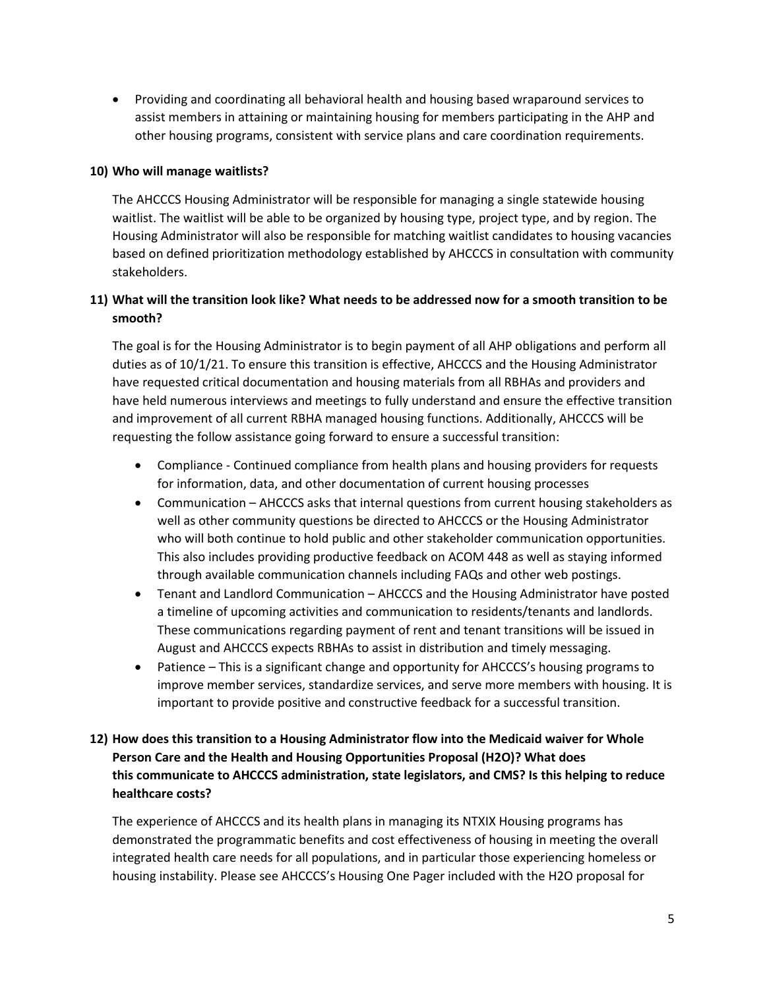• Providing and coordinating all behavioral health and housing based wraparound services to assist members in attaining or maintaining housing for members participating in the AHP and other housing programs, consistent with service plans and care coordination requirements.

#### **10) Who will manage waitlists?**

The AHCCCS Housing Administrator will be responsible for managing a single statewide housing waitlist. The waitlist will be able to be organized by housing type, project type, and by region. The Housing Administrator will also be responsible for matching waitlist candidates to housing vacancies based on defined prioritization methodology established by AHCCCS in consultation with community stakeholders.

## **11) What will the transition look like? What needs to be addressed now for a smooth transition to be smooth?**

The goal is for the Housing Administrator is to begin payment of all AHP obligations and perform all duties as of 10/1/21. To ensure this transition is effective, AHCCCS and the Housing Administrator have requested critical documentation and housing materials from all RBHAs and providers and have held numerous interviews and meetings to fully understand and ensure the effective transition and improvement of all current RBHA managed housing functions. Additionally, AHCCCS will be requesting the follow assistance going forward to ensure a successful transition:

- Compliance Continued compliance from health plans and housing providers for requests for information, data, and other documentation of current housing processes
- Communication AHCCCS asks that internal questions from current housing stakeholders as well as other community questions be directed to AHCCCS or the Housing Administrator who will both continue to hold public and other stakeholder communication opportunities. This also includes providing productive feedback on ACOM 448 as well as staying informed through available communication channels including FAQs and other web postings.
- Tenant and Landlord Communication AHCCCS and the Housing Administrator have posted a timeline of upcoming activities and communication to residents/tenants and landlords. These communications regarding payment of rent and tenant transitions will be issued in August and AHCCCS expects RBHAs to assist in distribution and timely messaging.
- Patience This is a significant change and opportunity for AHCCCS's housing programs to improve member services, standardize services, and serve more members with housing. It is important to provide positive and constructive feedback for a successful transition.

# **12) How does this transition to a Housing Administrator flow into the Medicaid waiver for Whole Person Care and the Health and Housing Opportunities Proposal (H2O)? What does this communicate to AHCCCS administration, state legislators, and CMS? Is this helping to reduce healthcare costs?**

The experience of AHCCCS and its health plans in managing its NTXIX Housing programs has demonstrated the programmatic benefits and cost effectiveness of housing in meeting the overall integrated health care needs for all populations, and in particular those experiencing homeless or housing instability. Please see AHCCCS's Housing One Pager included with the H2O proposal for